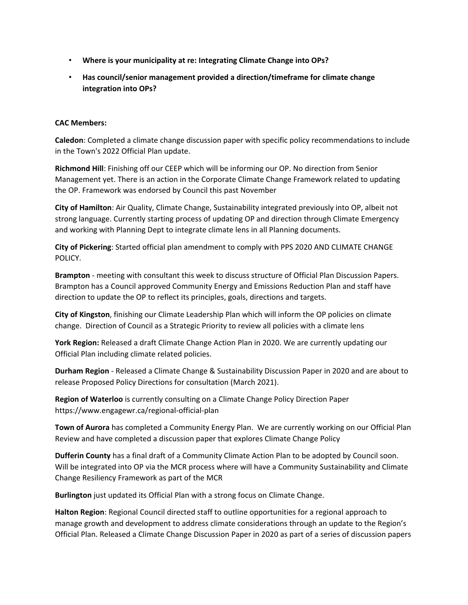- **Where is your municipality at re: Integrating Climate Change into OPs?**
- **Has council/senior management provided a direction/timeframe for climate change integration into OPs?**

## **CAC Members:**

**Caledon**: Completed a climate change discussion paper with specific policy recommendations to include in the Town's 2022 Official Plan update.

**Richmond Hill**: Finishing off our CEEP which will be informing our OP. No direction from Senior Management yet. There is an action in the Corporate Climate Change Framework related to updating the OP. Framework was endorsed by Council this past November

**City of Hamilton**: Air Quality, Climate Change, Sustainability integrated previously into OP, albeit not strong language. Currently starting process of updating OP and direction through Climate Emergency and working with Planning Dept to integrate climate lens in all Planning documents.

**City of Pickering**: Started official plan amendment to comply with PPS 2020 AND CLIMATE CHANGE POLICY.

**Brampton** - meeting with consultant this week to discuss structure of Official Plan Discussion Papers. Brampton has a Council approved Community Energy and Emissions Reduction Plan and staff have direction to update the OP to reflect its principles, goals, directions and targets.

**City of Kingston**, finishing our Climate Leadership Plan which will inform the OP policies on climate change. Direction of Council as a Strategic Priority to review all policies with a climate lens

**York Region:** Released a draft Climate Change Action Plan in 2020. We are currently updating our Official Plan including climate related policies.

**Durham Region** - Released a Climate Change & Sustainability Discussion Paper in 2020 and are about to release Proposed Policy Directions for consultation (March 2021).

**Region of Waterloo** is currently consulting on a Climate Change Policy Direction Paper https://www.engagewr.ca/regional-official-plan

**Town of Aurora** has completed a Community Energy Plan. We are currently working on our Official Plan Review and have completed a discussion paper that explores Climate Change Policy

**Dufferin County** has a final draft of a Community Climate Action Plan to be adopted by Council soon. Will be integrated into OP via the MCR process where will have a Community Sustainability and Climate Change Resiliency Framework as part of the MCR

**Burlington** just updated its Official Plan with a strong focus on Climate Change.

**Halton Region**: Regional Council directed staff to outline opportunities for a regional approach to manage growth and development to address climate considerations through an update to the Region's Official Plan. Released a Climate Change Discussion Paper in 2020 as part of a series of discussion papers